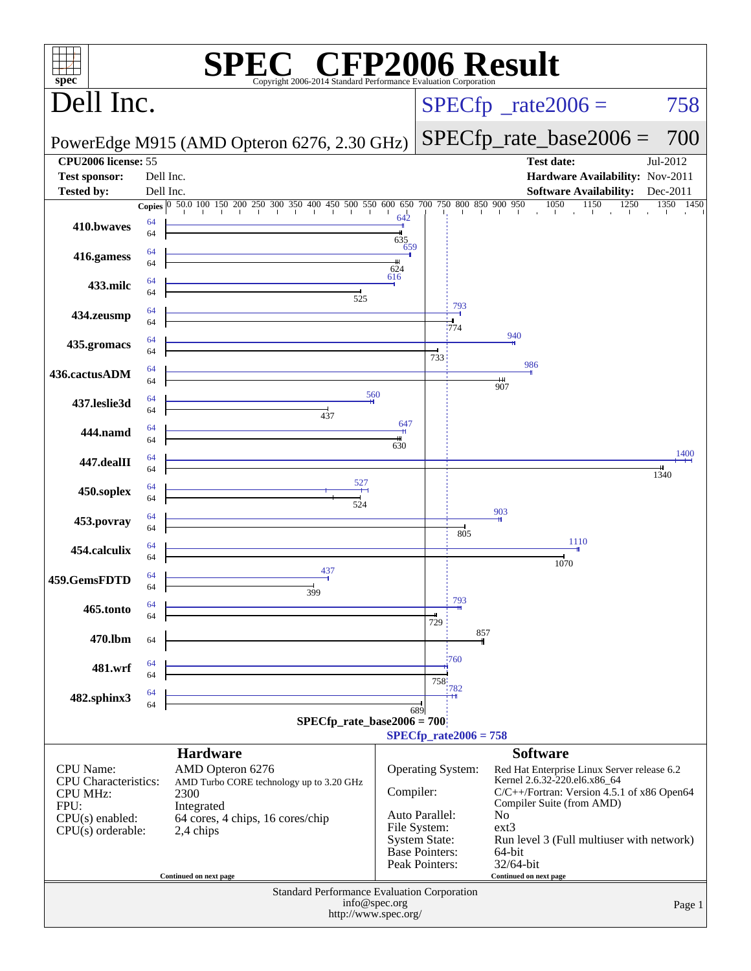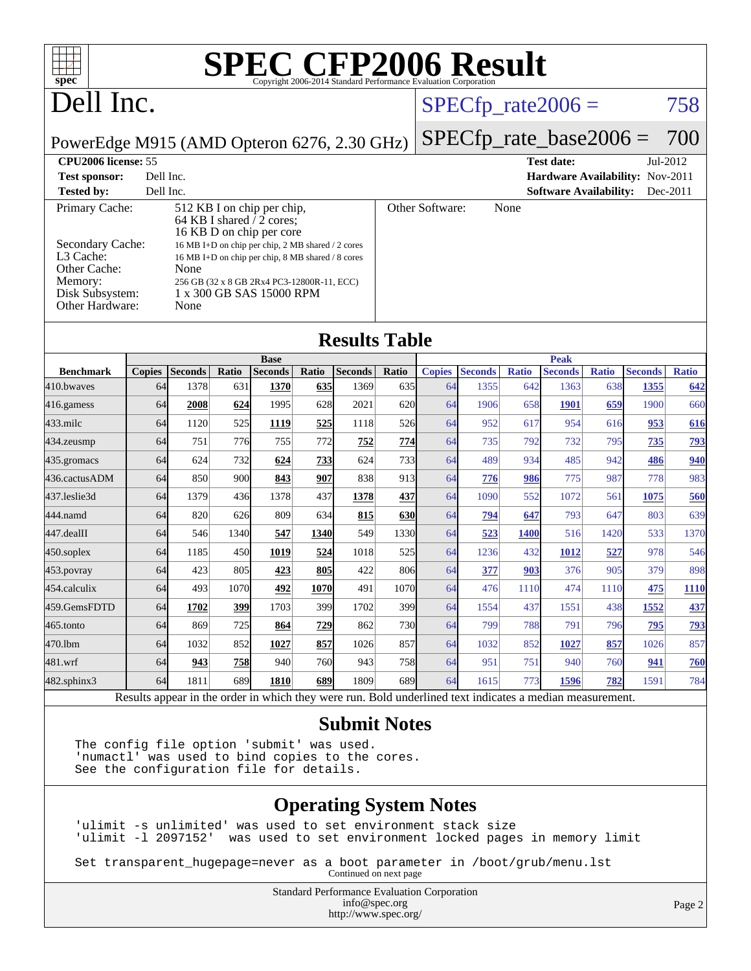| $spec^*$                                                                                                                     |               |                |            |                                                                                                                                                                                                                                                                                |       | <b>SPEC CFP2006 Result</b><br>Copyright 2006-2014 Standard Performance Evaluation Corporation            |       |                 |                            |              |                               |              |                                             |              |
|------------------------------------------------------------------------------------------------------------------------------|---------------|----------------|------------|--------------------------------------------------------------------------------------------------------------------------------------------------------------------------------------------------------------------------------------------------------------------------------|-------|----------------------------------------------------------------------------------------------------------|-------|-----------------|----------------------------|--------------|-------------------------------|--------------|---------------------------------------------|--------------|
| Dell Inc.                                                                                                                    |               |                |            |                                                                                                                                                                                                                                                                                |       |                                                                                                          |       |                 | $SPECfp\_rate2006 =$       |              |                               |              |                                             | 758          |
|                                                                                                                              |               |                |            |                                                                                                                                                                                                                                                                                |       |                                                                                                          |       |                 | $SPECfp\_rate\_base2006 =$ |              |                               |              |                                             | 700          |
| PowerEdge M915 (AMD Opteron 6276, 2.30 GHz)<br>CPU2006 license: 55                                                           |               |                |            |                                                                                                                                                                                                                                                                                |       |                                                                                                          |       |                 |                            |              |                               |              |                                             |              |
| <b>Test sponsor:</b>                                                                                                         | Dell Inc.     |                |            |                                                                                                                                                                                                                                                                                |       |                                                                                                          |       |                 |                            |              | <b>Test date:</b>             |              | Jul-2012<br>Hardware Availability: Nov-2011 |              |
| <b>Tested by:</b>                                                                                                            | Dell Inc.     |                |            |                                                                                                                                                                                                                                                                                |       |                                                                                                          |       |                 |                            |              | <b>Software Availability:</b> |              |                                             | Dec-2011     |
| Primary Cache:<br>Secondary Cache:<br>L <sub>3</sub> Cache:<br>Other Cache:<br>Memory:<br>Disk Subsystem:<br>Other Hardware: |               | None<br>None   |            | 512 KB I on chip per chip,<br>64 KB I shared $\sqrt{2}$ cores;<br>16 KB D on chip per core<br>16 MB I+D on chip per chip, 2 MB shared / 2 cores<br>16 MB I+D on chip per chip, 8 MB shared / 8 cores<br>256 GB (32 x 8 GB 2Rx4 PC3-12800R-11, ECC)<br>1 x 300 GB SAS 15000 RPM |       |                                                                                                          |       | Other Software: |                            | None         |                               |              |                                             |              |
|                                                                                                                              |               |                |            |                                                                                                                                                                                                                                                                                |       | <b>Results Table</b>                                                                                     |       |                 |                            |              |                               |              |                                             |              |
|                                                                                                                              |               |                |            | <b>Base</b>                                                                                                                                                                                                                                                                    |       |                                                                                                          |       |                 |                            |              | <b>Peak</b>                   |              |                                             |              |
| <b>Benchmark</b>                                                                                                             | <b>Copies</b> | <b>Seconds</b> | Ratio      | <b>Seconds</b>                                                                                                                                                                                                                                                                 | Ratio | <b>Seconds</b>                                                                                           | Ratio | <b>Copies</b>   | <b>Seconds</b>             | <b>Ratio</b> | <b>Seconds</b>                | <b>Ratio</b> | <b>Seconds</b>                              | <b>Ratio</b> |
| 410.bwaves                                                                                                                   | 64            | 1378           | 631        | 1370                                                                                                                                                                                                                                                                           | 635   | 1369                                                                                                     | 635   | 64              | 1355                       | 642          | 1363                          | 638          | 1355                                        | 642          |
| 416.gamess                                                                                                                   | 64            | 2008           | 624        | 1995                                                                                                                                                                                                                                                                           | 628   | 2021                                                                                                     | 620   | 64              | 1906                       | 658          | <b>1901</b>                   | 659          | 1900                                        | 660          |
| 433.milc                                                                                                                     | 64            | 1120           | 525        | 1119                                                                                                                                                                                                                                                                           | 525   | 1118                                                                                                     | 526   | 64              | 952                        | 617          | 954                           | 616          | 953                                         | 616          |
| 434.zeusmp                                                                                                                   | 64            | 751            | 776        | 755                                                                                                                                                                                                                                                                            | 772   | 752                                                                                                      | 774   | 64              | 735                        | 792          | 732                           | 795          | 735                                         | <u>793</u>   |
| 435.gromacs                                                                                                                  | 64            | 624            | 732        | 624                                                                                                                                                                                                                                                                            | 733   | 624                                                                                                      | 733   | 64              | 489                        | 934          | 485                           | 942          | 486                                         | 940          |
| 436.cactusADM                                                                                                                | 64            | 850            | 900        | 843                                                                                                                                                                                                                                                                            | 907   | 838                                                                                                      | 913   | 64              | 776                        | 986          | 775                           | 987          | 778                                         | 983          |
| 437.leslie3d                                                                                                                 | 64            | 1379           | 436        | 1378                                                                                                                                                                                                                                                                           | 437   | 1378                                                                                                     | 437   | 64              | 1090                       | 552          | 1072                          | 561          | 1075                                        | 560          |
| 444.namd                                                                                                                     | 64            | 820            | 626        | 809                                                                                                                                                                                                                                                                            | 634   | 815                                                                                                      | 630   | 64              | <u>794</u>                 | 647          | 793                           | 647          | 803                                         | 639          |
| $ 447.\text{dealII}$                                                                                                         | 64            | 546            | 1340       | 547                                                                                                                                                                                                                                                                            | 1340  | 549                                                                                                      | 1330  | 64              | 523                        | 1400         | 516                           | 1420         | 533                                         | 1370         |
| $450$ .soplex                                                                                                                | 64            | 1185           | 450        | 1019                                                                                                                                                                                                                                                                           | 524   | 1018                                                                                                     | 525   | 64              | 1236                       | 432          | <b>1012</b>                   | 527          | 978                                         | 546          |
| $453$ .povray                                                                                                                | 64            | 423            | 805        | 423                                                                                                                                                                                                                                                                            | 805   | 422                                                                                                      | 806   | 64              | 377                        | 903          | 376                           | 905          | 379                                         | 898          |
| 454.calculix                                                                                                                 | 64            | 493            | 1070       | 492                                                                                                                                                                                                                                                                            | 1070  | 491                                                                                                      | 1070  | 64              | 476                        | 1110         | 474                           | 1110         | 475                                         | <b>1110</b>  |
| 459.GemsFDTD                                                                                                                 | 64            | 1702           | 399        | 1703                                                                                                                                                                                                                                                                           | 399   | 1702                                                                                                     | 399   | 64              | 1554                       | 437          | 1551                          | 438          | <u>1552</u>                                 | 437          |
| 465.tonto                                                                                                                    | 64            | 869            | 725        | 864                                                                                                                                                                                                                                                                            | 729   | 862                                                                                                      | 730   | 64              | 799                        | 788          | 791                           | 796          | 795                                         | 793          |
| 470.1bm                                                                                                                      | 64            | 1032           | 852        | 1027                                                                                                                                                                                                                                                                           | 857   | 1026                                                                                                     | 857   | 64              | 1032                       | 852          | <b>1027</b>                   | 857          | 1026                                        | 857          |
| 481.wrf                                                                                                                      | 64            | 943            | <b>758</b> | 940                                                                                                                                                                                                                                                                            | 760   | 943                                                                                                      | 758   | 64              | 951                        | 751          | 940                           | 760          | 941                                         | 760          |
| 482.sphinx3                                                                                                                  | 64            | 1811           | 689        | 1810                                                                                                                                                                                                                                                                           | 689   | 1809                                                                                                     | 689   | 64              | 1615                       | 773          | 1596                          | 782          | 1591                                        | 784          |
|                                                                                                                              |               |                |            |                                                                                                                                                                                                                                                                                |       | Results appear in the order in which they were run. Bold underlined text indicates a median measurement. |       |                 |                            |              |                               |              |                                             |              |

#### **[Submit Notes](http://www.spec.org/auto/cpu2006/Docs/result-fields.html#SubmitNotes)**

The config file option 'submit' was used. 'numactl' was used to bind copies to the cores. See the configuration file for details.

#### **[Operating System Notes](http://www.spec.org/auto/cpu2006/Docs/result-fields.html#OperatingSystemNotes)**

'ulimit -s unlimited' was used to set environment stack size 'ulimit -l 2097152' was used to set environment locked pages in memory limit

Set transparent\_hugepage=never as a boot parameter in /boot/grub/menu.lst Continued on next page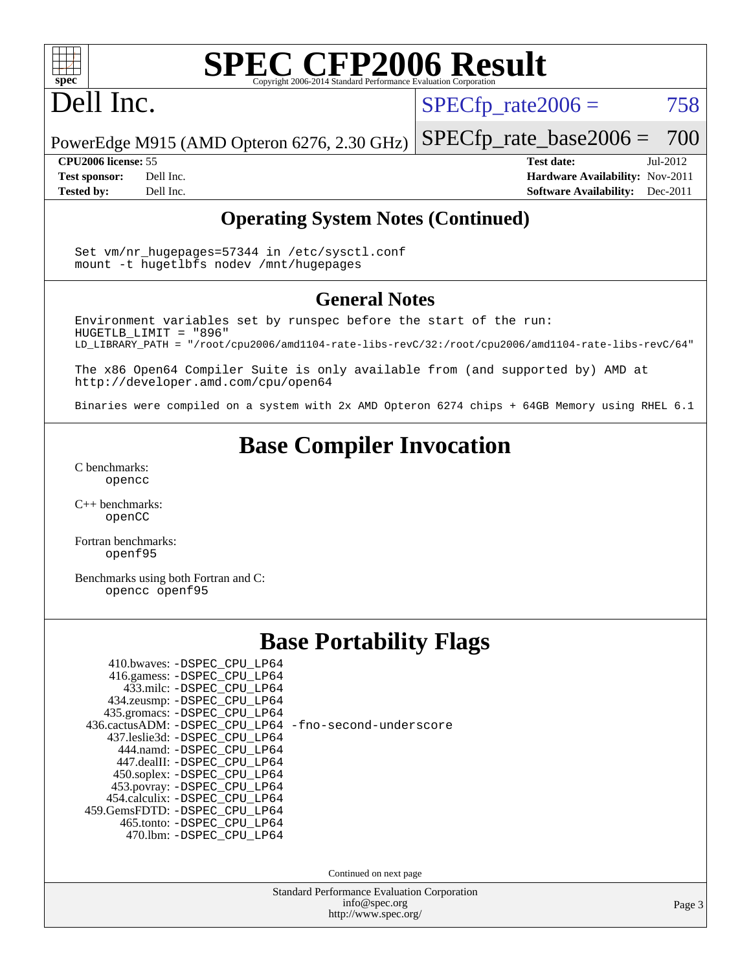

## Dell Inc.

 $SPECTp_rate2006 = 758$ 

PowerEdge M915 (AMD Opteron 6276, 2.30 GHz) [SPECfp\\_rate\\_base2006 =](http://www.spec.org/auto/cpu2006/Docs/result-fields.html#SPECfpratebase2006) 700

**[CPU2006 license:](http://www.spec.org/auto/cpu2006/Docs/result-fields.html#CPU2006license)** 55 **[Test date:](http://www.spec.org/auto/cpu2006/Docs/result-fields.html#Testdate)** Jul-2012 **[Test sponsor:](http://www.spec.org/auto/cpu2006/Docs/result-fields.html#Testsponsor)** Dell Inc. **[Hardware Availability:](http://www.spec.org/auto/cpu2006/Docs/result-fields.html#HardwareAvailability)** Nov-2011 **[Tested by:](http://www.spec.org/auto/cpu2006/Docs/result-fields.html#Testedby)** Dell Inc. **[Software Availability:](http://www.spec.org/auto/cpu2006/Docs/result-fields.html#SoftwareAvailability)** Dec-2011

#### **[Operating System Notes \(Continued\)](http://www.spec.org/auto/cpu2006/Docs/result-fields.html#OperatingSystemNotes)**

Set vm/nr hugepages=57344 in /etc/sysctl.conf mount -t hugetlbfs nodev /mnt/hugepages

#### **[General Notes](http://www.spec.org/auto/cpu2006/Docs/result-fields.html#GeneralNotes)**

Environment variables set by runspec before the start of the run: HUGETLB\_LIMIT = "896" LD\_LIBRARY\_PATH = "/root/cpu2006/amd1104-rate-libs-revC/32:/root/cpu2006/amd1104-rate-libs-revC/64"

The x86 Open64 Compiler Suite is only available from (and supported by) AMD at <http://developer.amd.com/cpu/open64>

Binaries were compiled on a system with 2x AMD Opteron 6274 chips + 64GB Memory using RHEL 6.1

#### **[Base Compiler Invocation](http://www.spec.org/auto/cpu2006/Docs/result-fields.html#BaseCompilerInvocation)**

[C benchmarks](http://www.spec.org/auto/cpu2006/Docs/result-fields.html#Cbenchmarks): [opencc](http://www.spec.org/cpu2006/results/res2012q3/cpu2006-20120730-23934.flags.html#user_CCbase_Fopencc)

[C++ benchmarks:](http://www.spec.org/auto/cpu2006/Docs/result-fields.html#CXXbenchmarks) [openCC](http://www.spec.org/cpu2006/results/res2012q3/cpu2006-20120730-23934.flags.html#user_CXXbase_FopenCC)

[Fortran benchmarks](http://www.spec.org/auto/cpu2006/Docs/result-fields.html#Fortranbenchmarks): [openf95](http://www.spec.org/cpu2006/results/res2012q3/cpu2006-20120730-23934.flags.html#user_FCbase_Fopenf95)

[Benchmarks using both Fortran and C](http://www.spec.org/auto/cpu2006/Docs/result-fields.html#BenchmarksusingbothFortranandC): [opencc](http://www.spec.org/cpu2006/results/res2012q3/cpu2006-20120730-23934.flags.html#user_CC_FCbase_Fopencc) [openf95](http://www.spec.org/cpu2006/results/res2012q3/cpu2006-20120730-23934.flags.html#user_CC_FCbase_Fopenf95)

#### **[Base Portability Flags](http://www.spec.org/auto/cpu2006/Docs/result-fields.html#BasePortabilityFlags)**

| 410.bwaves: - DSPEC_CPU_LP64   |  |
|--------------------------------|--|
| 416.gamess: -DSPEC_CPU_LP64    |  |
| 433.milc: - DSPEC_CPU_LP64     |  |
| 434.zeusmp: -DSPEC_CPU_LP64    |  |
| 435.gromacs: -DSPEC_CPU_LP64   |  |
| 436.cactusADM: -DSPEC_CPU_LP64 |  |
| 437.leslie3d: -DSPEC_CPU_LP64  |  |
| 444.namd: -DSPEC CPU LP64      |  |
| 447.dealII: -DSPEC_CPU_LP64    |  |
| 450.soplex: -DSPEC_CPU_LP64    |  |
| 453.povray: -DSPEC_CPU_LP64    |  |
| 454.calculix: -DSPEC_CPU_LP64  |  |
| 459.GemsFDTD: - DSPEC_CPU_LP64 |  |
| 465.tonto: -DSPEC_CPU_LP64     |  |
| 470.1bm: -DSPEC CPU LP64       |  |
|                                |  |

[-fno-second-underscore](http://www.spec.org/cpu2006/results/res2012q3/cpu2006-20120730-23934.flags.html#user_baseFPORTABILITY436_cactusADM_F-fno-second-underscore)

Continued on next page

Standard Performance Evaluation Corporation [info@spec.org](mailto:info@spec.org) <http://www.spec.org/>

Page 3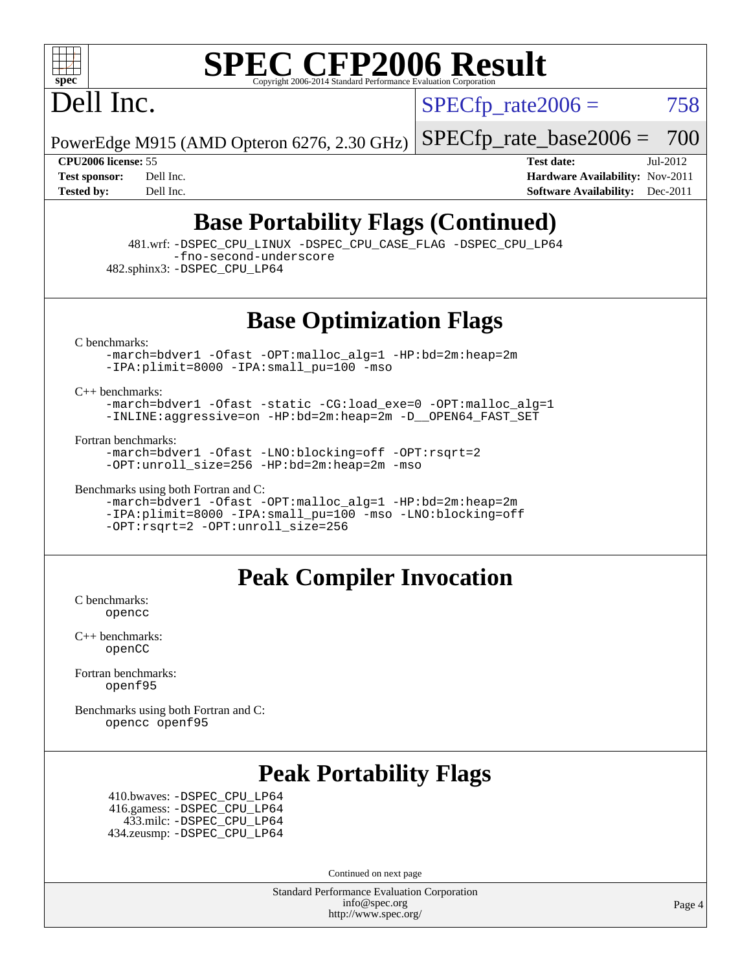

Dell Inc.

 $SPECTp\_rate2006 = 758$ 

PowerEdge M915 (AMD Opteron 6276, 2.30 GHz)

[SPECfp\\_rate\\_base2006 =](http://www.spec.org/auto/cpu2006/Docs/result-fields.html#SPECfpratebase2006) 700

**[CPU2006 license:](http://www.spec.org/auto/cpu2006/Docs/result-fields.html#CPU2006license)** 55 **[Test date:](http://www.spec.org/auto/cpu2006/Docs/result-fields.html#Testdate)** Jul-2012 **[Test sponsor:](http://www.spec.org/auto/cpu2006/Docs/result-fields.html#Testsponsor)** Dell Inc. **[Hardware Availability:](http://www.spec.org/auto/cpu2006/Docs/result-fields.html#HardwareAvailability)** Nov-2011 **[Tested by:](http://www.spec.org/auto/cpu2006/Docs/result-fields.html#Testedby)** Dell Inc. **[Software Availability:](http://www.spec.org/auto/cpu2006/Docs/result-fields.html#SoftwareAvailability)** Dec-2011

#### **[Base Portability Flags \(Continued\)](http://www.spec.org/auto/cpu2006/Docs/result-fields.html#BasePortabilityFlags)**

 481.wrf: [-DSPEC\\_CPU\\_LINUX](http://www.spec.org/cpu2006/results/res2012q3/cpu2006-20120730-23934.flags.html#b481.wrf_basePORTABILITY_DSPEC_CPU_LINUX) [-DSPEC\\_CPU\\_CASE\\_FLAG](http://www.spec.org/cpu2006/results/res2012q3/cpu2006-20120730-23934.flags.html#b481.wrf_basePORTABILITY_DSPEC_CPU_CASE_FLAG) [-DSPEC\\_CPU\\_LP64](http://www.spec.org/cpu2006/results/res2012q3/cpu2006-20120730-23934.flags.html#suite_basePORTABILITY481_wrf_DSPEC_CPU_LP64) [-fno-second-underscore](http://www.spec.org/cpu2006/results/res2012q3/cpu2006-20120730-23934.flags.html#user_baseFPORTABILITY481_wrf_F-fno-second-underscore)

482.sphinx3: [-DSPEC\\_CPU\\_LP64](http://www.spec.org/cpu2006/results/res2012q3/cpu2006-20120730-23934.flags.html#suite_basePORTABILITY482_sphinx3_DSPEC_CPU_LP64)

**[Base Optimization Flags](http://www.spec.org/auto/cpu2006/Docs/result-fields.html#BaseOptimizationFlags)**

[C benchmarks](http://www.spec.org/auto/cpu2006/Docs/result-fields.html#Cbenchmarks):

[-march=bdver1](http://www.spec.org/cpu2006/results/res2012q3/cpu2006-20120730-23934.flags.html#user_CCbase_F-march_fdb9f2653a6b3eaa60be4cf93a9ba5f3) [-Ofast](http://www.spec.org/cpu2006/results/res2012q3/cpu2006-20120730-23934.flags.html#user_CCbase_F-Ofast) [-OPT:malloc\\_alg=1](http://www.spec.org/cpu2006/results/res2012q3/cpu2006-20120730-23934.flags.html#user_CCbase_F-OPT:malloc_algorithm_58733815edefaa612c2ed769b716daa0) [-HP:bd=2m:heap=2m](http://www.spec.org/cpu2006/results/res2012q3/cpu2006-20120730-23934.flags.html#user_CCbase_F-HUGEPAGE_539c723a9f9bd1bd95cd839aeb740bae) [-IPA:plimit=8000](http://www.spec.org/cpu2006/results/res2012q3/cpu2006-20120730-23934.flags.html#user_CCbase_F-IPA:plimit_92cba83f3d47f09c7d5368fda93ddbd7) [-IPA:small\\_pu=100](http://www.spec.org/cpu2006/results/res2012q3/cpu2006-20120730-23934.flags.html#user_CCbase_F-IPA:small_pu_900a09767c6929d55c26ea3d32399996) [-mso](http://www.spec.org/cpu2006/results/res2012q3/cpu2006-20120730-23934.flags.html#user_CCbase_F-mso)

[C++ benchmarks:](http://www.spec.org/auto/cpu2006/Docs/result-fields.html#CXXbenchmarks)

[-march=bdver1](http://www.spec.org/cpu2006/results/res2012q3/cpu2006-20120730-23934.flags.html#user_CXXbase_F-march_fdb9f2653a6b3eaa60be4cf93a9ba5f3) [-Ofast](http://www.spec.org/cpu2006/results/res2012q3/cpu2006-20120730-23934.flags.html#user_CXXbase_F-Ofast) [-static](http://www.spec.org/cpu2006/results/res2012q3/cpu2006-20120730-23934.flags.html#user_CXXbase_F-static) [-CG:load\\_exe=0](http://www.spec.org/cpu2006/results/res2012q3/cpu2006-20120730-23934.flags.html#user_CXXbase_F-CG:load_exe_274d025dc8e91b4834366e9e44cd78e3) [-OPT:malloc\\_alg=1](http://www.spec.org/cpu2006/results/res2012q3/cpu2006-20120730-23934.flags.html#user_CXXbase_F-OPT:malloc_algorithm_58733815edefaa612c2ed769b716daa0) [-INLINE:aggressive=on](http://www.spec.org/cpu2006/results/res2012q3/cpu2006-20120730-23934.flags.html#user_CXXbase_F-INLINE:aggressive_e14807c0a1e56a6a83cb25ab07c7ae8a) [-HP:bd=2m:heap=2m](http://www.spec.org/cpu2006/results/res2012q3/cpu2006-20120730-23934.flags.html#user_CXXbase_F-HUGEPAGE_539c723a9f9bd1bd95cd839aeb740bae) [-D\\_\\_OPEN64\\_FAST\\_SET](http://www.spec.org/cpu2006/results/res2012q3/cpu2006-20120730-23934.flags.html#user_CXXbase_F-D__OPEN64_FAST_SET_294c6d8260f208640e5474aae24dc22e)

[Fortran benchmarks](http://www.spec.org/auto/cpu2006/Docs/result-fields.html#Fortranbenchmarks):

[-march=bdver1](http://www.spec.org/cpu2006/results/res2012q3/cpu2006-20120730-23934.flags.html#user_FCbase_F-march_fdb9f2653a6b3eaa60be4cf93a9ba5f3) [-Ofast](http://www.spec.org/cpu2006/results/res2012q3/cpu2006-20120730-23934.flags.html#user_FCbase_F-Ofast) [-LNO:blocking=off](http://www.spec.org/cpu2006/results/res2012q3/cpu2006-20120730-23934.flags.html#user_FCbase_F-LNO:blocking_806f5758a3ec85ed57cd5625787129f2) [-OPT:rsqrt=2](http://www.spec.org/cpu2006/results/res2012q3/cpu2006-20120730-23934.flags.html#user_FCbase_F-OPT:rsqrt_86267f9eadbaac77732db1e74eed7bf8) [-OPT:unroll\\_size=256](http://www.spec.org/cpu2006/results/res2012q3/cpu2006-20120730-23934.flags.html#user_FCbase_F-OPT:unroll_size_dfa492f42f50f580c3837c8b22d14f27) [-HP:bd=2m:heap=2m](http://www.spec.org/cpu2006/results/res2012q3/cpu2006-20120730-23934.flags.html#user_FCbase_F-HUGEPAGE_539c723a9f9bd1bd95cd839aeb740bae) [-mso](http://www.spec.org/cpu2006/results/res2012q3/cpu2006-20120730-23934.flags.html#user_FCbase_F-mso)

[Benchmarks using both Fortran and C](http://www.spec.org/auto/cpu2006/Docs/result-fields.html#BenchmarksusingbothFortranandC):

[-march=bdver1](http://www.spec.org/cpu2006/results/res2012q3/cpu2006-20120730-23934.flags.html#user_CC_FCbase_F-march_fdb9f2653a6b3eaa60be4cf93a9ba5f3) [-Ofast](http://www.spec.org/cpu2006/results/res2012q3/cpu2006-20120730-23934.flags.html#user_CC_FCbase_F-Ofast) [-OPT:malloc\\_alg=1](http://www.spec.org/cpu2006/results/res2012q3/cpu2006-20120730-23934.flags.html#user_CC_FCbase_F-OPT:malloc_algorithm_58733815edefaa612c2ed769b716daa0) [-HP:bd=2m:heap=2m](http://www.spec.org/cpu2006/results/res2012q3/cpu2006-20120730-23934.flags.html#user_CC_FCbase_F-HUGEPAGE_539c723a9f9bd1bd95cd839aeb740bae) [-IPA:plimit=8000](http://www.spec.org/cpu2006/results/res2012q3/cpu2006-20120730-23934.flags.html#user_CC_FCbase_F-IPA:plimit_92cba83f3d47f09c7d5368fda93ddbd7) [-IPA:small\\_pu=100](http://www.spec.org/cpu2006/results/res2012q3/cpu2006-20120730-23934.flags.html#user_CC_FCbase_F-IPA:small_pu_900a09767c6929d55c26ea3d32399996) [-mso](http://www.spec.org/cpu2006/results/res2012q3/cpu2006-20120730-23934.flags.html#user_CC_FCbase_F-mso) [-LNO:blocking=off](http://www.spec.org/cpu2006/results/res2012q3/cpu2006-20120730-23934.flags.html#user_CC_FCbase_F-LNO:blocking_806f5758a3ec85ed57cd5625787129f2) [-OPT:rsqrt=2](http://www.spec.org/cpu2006/results/res2012q3/cpu2006-20120730-23934.flags.html#user_CC_FCbase_F-OPT:rsqrt_86267f9eadbaac77732db1e74eed7bf8) [-OPT:unroll\\_size=256](http://www.spec.org/cpu2006/results/res2012q3/cpu2006-20120730-23934.flags.html#user_CC_FCbase_F-OPT:unroll_size_dfa492f42f50f580c3837c8b22d14f27)

#### **[Peak Compiler Invocation](http://www.spec.org/auto/cpu2006/Docs/result-fields.html#PeakCompilerInvocation)**

[C benchmarks](http://www.spec.org/auto/cpu2006/Docs/result-fields.html#Cbenchmarks): [opencc](http://www.spec.org/cpu2006/results/res2012q3/cpu2006-20120730-23934.flags.html#user_CCpeak_Fopencc)

[C++ benchmarks:](http://www.spec.org/auto/cpu2006/Docs/result-fields.html#CXXbenchmarks) [openCC](http://www.spec.org/cpu2006/results/res2012q3/cpu2006-20120730-23934.flags.html#user_CXXpeak_FopenCC)

[Fortran benchmarks](http://www.spec.org/auto/cpu2006/Docs/result-fields.html#Fortranbenchmarks): [openf95](http://www.spec.org/cpu2006/results/res2012q3/cpu2006-20120730-23934.flags.html#user_FCpeak_Fopenf95)

[Benchmarks using both Fortran and C](http://www.spec.org/auto/cpu2006/Docs/result-fields.html#BenchmarksusingbothFortranandC): [opencc](http://www.spec.org/cpu2006/results/res2012q3/cpu2006-20120730-23934.flags.html#user_CC_FCpeak_Fopencc) [openf95](http://www.spec.org/cpu2006/results/res2012q3/cpu2006-20120730-23934.flags.html#user_CC_FCpeak_Fopenf95)

#### **[Peak Portability Flags](http://www.spec.org/auto/cpu2006/Docs/result-fields.html#PeakPortabilityFlags)**

 410.bwaves: [-DSPEC\\_CPU\\_LP64](http://www.spec.org/cpu2006/results/res2012q3/cpu2006-20120730-23934.flags.html#suite_peakPORTABILITY410_bwaves_DSPEC_CPU_LP64) 416.gamess: [-DSPEC\\_CPU\\_LP64](http://www.spec.org/cpu2006/results/res2012q3/cpu2006-20120730-23934.flags.html#suite_peakPORTABILITY416_gamess_DSPEC_CPU_LP64) 433.milc: [-DSPEC\\_CPU\\_LP64](http://www.spec.org/cpu2006/results/res2012q3/cpu2006-20120730-23934.flags.html#suite_peakPORTABILITY433_milc_DSPEC_CPU_LP64) 434.zeusmp: [-DSPEC\\_CPU\\_LP64](http://www.spec.org/cpu2006/results/res2012q3/cpu2006-20120730-23934.flags.html#suite_peakPORTABILITY434_zeusmp_DSPEC_CPU_LP64)

Continued on next page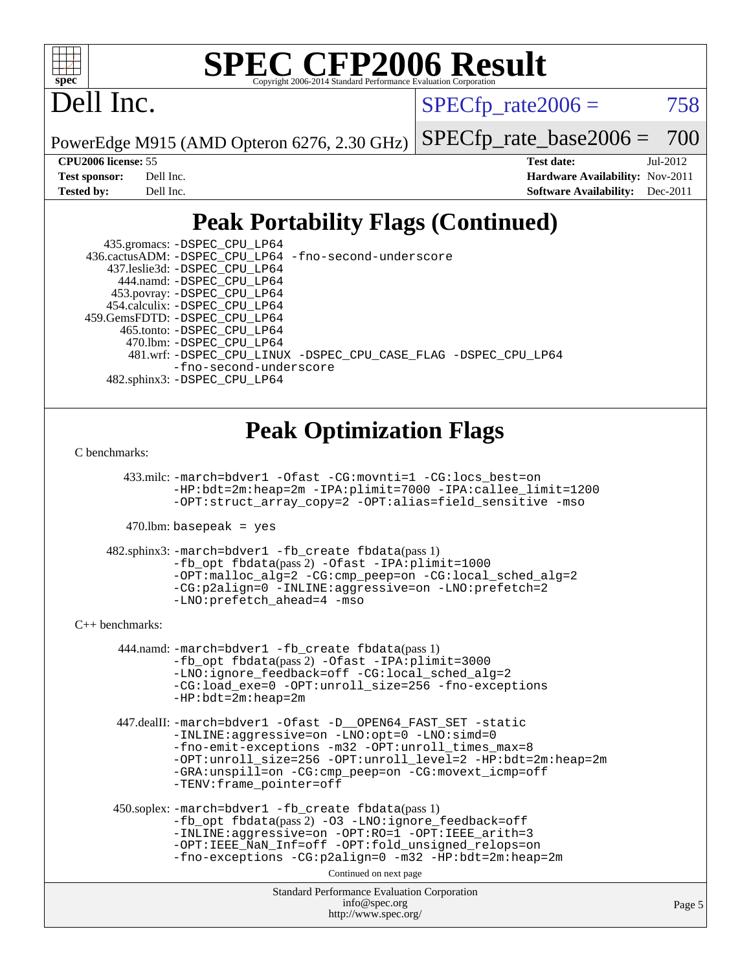

## Dell Inc.

 $SPECTp\_rate2006 = 758$ 

PowerEdge M915 (AMD Opteron 6276, 2.30 GHz)

[SPECfp\\_rate\\_base2006 =](http://www.spec.org/auto/cpu2006/Docs/result-fields.html#SPECfpratebase2006) 700

**[CPU2006 license:](http://www.spec.org/auto/cpu2006/Docs/result-fields.html#CPU2006license)** 55 **[Test date:](http://www.spec.org/auto/cpu2006/Docs/result-fields.html#Testdate)** Jul-2012 **[Test sponsor:](http://www.spec.org/auto/cpu2006/Docs/result-fields.html#Testsponsor)** Dell Inc. **[Hardware Availability:](http://www.spec.org/auto/cpu2006/Docs/result-fields.html#HardwareAvailability)** Nov-2011 **[Tested by:](http://www.spec.org/auto/cpu2006/Docs/result-fields.html#Testedby)** Dell Inc. **[Software Availability:](http://www.spec.org/auto/cpu2006/Docs/result-fields.html#SoftwareAvailability)** Dec-2011

## **[Peak Portability Flags \(Continued\)](http://www.spec.org/auto/cpu2006/Docs/result-fields.html#PeakPortabilityFlags)**

 435.gromacs: [-DSPEC\\_CPU\\_LP64](http://www.spec.org/cpu2006/results/res2012q3/cpu2006-20120730-23934.flags.html#suite_peakPORTABILITY435_gromacs_DSPEC_CPU_LP64) 436.cactusADM: [-DSPEC\\_CPU\\_LP64](http://www.spec.org/cpu2006/results/res2012q3/cpu2006-20120730-23934.flags.html#suite_peakPORTABILITY436_cactusADM_DSPEC_CPU_LP64) [-fno-second-underscore](http://www.spec.org/cpu2006/results/res2012q3/cpu2006-20120730-23934.flags.html#user_peakFPORTABILITY436_cactusADM_F-fno-second-underscore) 437.leslie3d: [-DSPEC\\_CPU\\_LP64](http://www.spec.org/cpu2006/results/res2012q3/cpu2006-20120730-23934.flags.html#suite_peakPORTABILITY437_leslie3d_DSPEC_CPU_LP64) 444.namd: [-DSPEC\\_CPU\\_LP64](http://www.spec.org/cpu2006/results/res2012q3/cpu2006-20120730-23934.flags.html#suite_peakPORTABILITY444_namd_DSPEC_CPU_LP64) 453.povray: [-DSPEC\\_CPU\\_LP64](http://www.spec.org/cpu2006/results/res2012q3/cpu2006-20120730-23934.flags.html#suite_peakPORTABILITY453_povray_DSPEC_CPU_LP64) 454.calculix: [-DSPEC\\_CPU\\_LP64](http://www.spec.org/cpu2006/results/res2012q3/cpu2006-20120730-23934.flags.html#suite_peakPORTABILITY454_calculix_DSPEC_CPU_LP64) 459.GemsFDTD: [-DSPEC\\_CPU\\_LP64](http://www.spec.org/cpu2006/results/res2012q3/cpu2006-20120730-23934.flags.html#suite_peakPORTABILITY459_GemsFDTD_DSPEC_CPU_LP64) 465.tonto: [-DSPEC\\_CPU\\_LP64](http://www.spec.org/cpu2006/results/res2012q3/cpu2006-20120730-23934.flags.html#suite_peakPORTABILITY465_tonto_DSPEC_CPU_LP64) 470.lbm: [-DSPEC\\_CPU\\_LP64](http://www.spec.org/cpu2006/results/res2012q3/cpu2006-20120730-23934.flags.html#suite_peakPORTABILITY470_lbm_DSPEC_CPU_LP64) 481.wrf: [-DSPEC\\_CPU\\_LINUX](http://www.spec.org/cpu2006/results/res2012q3/cpu2006-20120730-23934.flags.html#b481.wrf_peakPORTABILITY_DSPEC_CPU_LINUX) [-DSPEC\\_CPU\\_CASE\\_FLAG](http://www.spec.org/cpu2006/results/res2012q3/cpu2006-20120730-23934.flags.html#b481.wrf_peakPORTABILITY_DSPEC_CPU_CASE_FLAG) [-DSPEC\\_CPU\\_LP64](http://www.spec.org/cpu2006/results/res2012q3/cpu2006-20120730-23934.flags.html#suite_peakPORTABILITY481_wrf_DSPEC_CPU_LP64) [-fno-second-underscore](http://www.spec.org/cpu2006/results/res2012q3/cpu2006-20120730-23934.flags.html#user_peakFPORTABILITY481_wrf_F-fno-second-underscore) 482.sphinx3: [-DSPEC\\_CPU\\_LP64](http://www.spec.org/cpu2006/results/res2012q3/cpu2006-20120730-23934.flags.html#suite_peakPORTABILITY482_sphinx3_DSPEC_CPU_LP64)

#### **[Peak Optimization Flags](http://www.spec.org/auto/cpu2006/Docs/result-fields.html#PeakOptimizationFlags)**

[C benchmarks](http://www.spec.org/auto/cpu2006/Docs/result-fields.html#Cbenchmarks):

 433.milc: [-march=bdver1](http://www.spec.org/cpu2006/results/res2012q3/cpu2006-20120730-23934.flags.html#user_peakCCLD433_milc_F-march_fdb9f2653a6b3eaa60be4cf93a9ba5f3) [-Ofast](http://www.spec.org/cpu2006/results/res2012q3/cpu2006-20120730-23934.flags.html#user_peakCOPTIMIZE433_milc_F-Ofast) [-CG:movnti=1](http://www.spec.org/cpu2006/results/res2012q3/cpu2006-20120730-23934.flags.html#user_peakCOPTIMIZE433_milc_F-CG:movnti_c5191dc1f6da57382570e339f0143b6b) [-CG:locs\\_best=on](http://www.spec.org/cpu2006/results/res2012q3/cpu2006-20120730-23934.flags.html#user_peakCOPTIMIZE433_milc_F-CG:locs_best_44bf6c0eb80ac6a9a061cf7622f6bbb4) [-HP:bdt=2m:heap=2m](http://www.spec.org/cpu2006/results/res2012q3/cpu2006-20120730-23934.flags.html#user_peakCOPTIMIZE433_milc_F-HUGEPAGE_855e97383b49831f390a2af16fe7202f) [-IPA:plimit=7000](http://www.spec.org/cpu2006/results/res2012q3/cpu2006-20120730-23934.flags.html#user_peakCOPTIMIZE433_milc_F-IPA:plimit_9ab6b7e2a03099d305c7c932a2b08e7b) [-IPA:callee\\_limit=1200](http://www.spec.org/cpu2006/results/res2012q3/cpu2006-20120730-23934.flags.html#user_peakCOPTIMIZE433_milc_F-IPA:callee_limit_84570d230861a5f7e1ef8b9d520820bd) [-OPT:struct\\_array\\_copy=2](http://www.spec.org/cpu2006/results/res2012q3/cpu2006-20120730-23934.flags.html#user_peakCOPTIMIZE433_milc_F-OPT:struct_array_copy_974d2ad8eca78b540f82de85c2718c76) [-OPT:alias=field\\_sensitive](http://www.spec.org/cpu2006/results/res2012q3/cpu2006-20120730-23934.flags.html#user_peakCOPTIMIZE433_milc_F-OPT:alias_5e8b0b9ccca45811fc77b81277beeeb6) [-mso](http://www.spec.org/cpu2006/results/res2012q3/cpu2006-20120730-23934.flags.html#user_peakCOPTIMIZE433_milc_F-mso)

 $470$ .lbm: basepeak = yes

 482.sphinx3: [-march=bdver1](http://www.spec.org/cpu2006/results/res2012q3/cpu2006-20120730-23934.flags.html#user_peakCCLD482_sphinx3_F-march_fdb9f2653a6b3eaa60be4cf93a9ba5f3) [-fb\\_create fbdata](http://www.spec.org/cpu2006/results/res2012q3/cpu2006-20120730-23934.flags.html#user_peakPASS1_CFLAGSPASS1_LDFLAGS482_sphinx3_F-fb_create_filename)(pass 1) [-fb\\_opt fbdata](http://www.spec.org/cpu2006/results/res2012q3/cpu2006-20120730-23934.flags.html#user_peakPASS2_CFLAGSPASS2_LDFLAGS482_sphinx3_F-fb_opt_filename)(pass 2) [-Ofast](http://www.spec.org/cpu2006/results/res2012q3/cpu2006-20120730-23934.flags.html#user_peakCOPTIMIZE482_sphinx3_F-Ofast) [-IPA:plimit=1000](http://www.spec.org/cpu2006/results/res2012q3/cpu2006-20120730-23934.flags.html#user_peakCOPTIMIZE482_sphinx3_F-IPA:plimit_a21635e8c676b861cbb49424034e8738) -OPT:malloc alg=2 -CG:cmp peep=on -CG:local sched alg=2 [-CG:p2align=0](http://www.spec.org/cpu2006/results/res2012q3/cpu2006-20120730-23934.flags.html#user_peakCOPTIMIZE482_sphinx3_F-CG:p2align_f0b0486d75f2be7d5254cfc84ff9845e) [-INLINE:aggressive=on](http://www.spec.org/cpu2006/results/res2012q3/cpu2006-20120730-23934.flags.html#user_peakCOPTIMIZE482_sphinx3_F-INLINE:aggressive_e14807c0a1e56a6a83cb25ab07c7ae8a) [-LNO:prefetch=2](http://www.spec.org/cpu2006/results/res2012q3/cpu2006-20120730-23934.flags.html#user_peakCOPTIMIZE482_sphinx3_F-LNO:prefetch_9aee81855ba0592a3c8a40ba7b041143) [-LNO:prefetch\\_ahead=4](http://www.spec.org/cpu2006/results/res2012q3/cpu2006-20120730-23934.flags.html#user_peakCOPTIMIZE482_sphinx3_F-LNO:prefetch_ahead_8c6859a25238ee4458253845ce09b91d) [-mso](http://www.spec.org/cpu2006/results/res2012q3/cpu2006-20120730-23934.flags.html#user_peakCOPTIMIZE482_sphinx3_F-mso)

[C++ benchmarks:](http://www.spec.org/auto/cpu2006/Docs/result-fields.html#CXXbenchmarks)

 444.namd: [-march=bdver1](http://www.spec.org/cpu2006/results/res2012q3/cpu2006-20120730-23934.flags.html#user_peakCXXLD444_namd_F-march_fdb9f2653a6b3eaa60be4cf93a9ba5f3) [-fb\\_create fbdata](http://www.spec.org/cpu2006/results/res2012q3/cpu2006-20120730-23934.flags.html#user_peakPASS1_CXXFLAGSPASS1_LDFLAGS444_namd_F-fb_create_filename)(pass 1) [-fb\\_opt fbdata](http://www.spec.org/cpu2006/results/res2012q3/cpu2006-20120730-23934.flags.html#user_peakPASS2_CXXFLAGSPASS2_LDFLAGS444_namd_F-fb_opt_filename)(pass 2) [-Ofast](http://www.spec.org/cpu2006/results/res2012q3/cpu2006-20120730-23934.flags.html#user_peakCXXOPTIMIZE444_namd_F-Ofast) [-IPA:plimit=3000](http://www.spec.org/cpu2006/results/res2012q3/cpu2006-20120730-23934.flags.html#user_peakCXXOPTIMIZE444_namd_F-IPA:plimit_1271b34fa8b6ba660886afb001b0afe7) [-LNO:ignore\\_feedback=off](http://www.spec.org/cpu2006/results/res2012q3/cpu2006-20120730-23934.flags.html#user_peakCXXOPTIMIZE444_namd_F-LNO:ignore_feedback_1d6d06f39185b277a955c10dfd0a9a73) [-CG:local\\_sched\\_alg=2](http://www.spec.org/cpu2006/results/res2012q3/cpu2006-20120730-23934.flags.html#user_peakCXXOPTIMIZE444_namd_F-CG:local_sched_alg_7e9cde87db6e5e7117cdd873e1f958ca) [-CG:load\\_exe=0](http://www.spec.org/cpu2006/results/res2012q3/cpu2006-20120730-23934.flags.html#user_peakCXXOPTIMIZE444_namd_F-CG:load_exe_274d025dc8e91b4834366e9e44cd78e3) [-OPT:unroll\\_size=256](http://www.spec.org/cpu2006/results/res2012q3/cpu2006-20120730-23934.flags.html#user_peakCXXOPTIMIZE444_namd_F-OPT:unroll_size_dfa492f42f50f580c3837c8b22d14f27) [-fno-exceptions](http://www.spec.org/cpu2006/results/res2012q3/cpu2006-20120730-23934.flags.html#user_peakCXXOPTIMIZE444_namd_F-fexceptions) [-HP:bdt=2m:heap=2m](http://www.spec.org/cpu2006/results/res2012q3/cpu2006-20120730-23934.flags.html#user_peakCXXOPTIMIZE444_namd_F-HUGEPAGE_855e97383b49831f390a2af16fe7202f)

 447.dealII: [-march=bdver1](http://www.spec.org/cpu2006/results/res2012q3/cpu2006-20120730-23934.flags.html#user_peakCXXLD447_dealII_F-march_fdb9f2653a6b3eaa60be4cf93a9ba5f3) [-Ofast](http://www.spec.org/cpu2006/results/res2012q3/cpu2006-20120730-23934.flags.html#user_peakCXXOPTIMIZE447_dealII_F-Ofast) [-D\\_\\_OPEN64\\_FAST\\_SET](http://www.spec.org/cpu2006/results/res2012q3/cpu2006-20120730-23934.flags.html#user_peakCXXOPTIMIZE447_dealII_F-D__OPEN64_FAST_SET_294c6d8260f208640e5474aae24dc22e) [-static](http://www.spec.org/cpu2006/results/res2012q3/cpu2006-20120730-23934.flags.html#user_peakCXXOPTIMIZE447_dealII_F-static) [-INLINE:aggressive=on](http://www.spec.org/cpu2006/results/res2012q3/cpu2006-20120730-23934.flags.html#user_peakCXXOPTIMIZE447_dealII_F-INLINE:aggressive_e14807c0a1e56a6a83cb25ab07c7ae8a) [-LNO:opt=0](http://www.spec.org/cpu2006/results/res2012q3/cpu2006-20120730-23934.flags.html#user_peakCXXOPTIMIZE447_dealII_F-LNO:opt_b91e8b13d06f45039299c6496cc69a5f) [-LNO:simd=0](http://www.spec.org/cpu2006/results/res2012q3/cpu2006-20120730-23934.flags.html#user_peakCXXOPTIMIZE447_dealII_F-LNO:simd_fe5269a1a2b4239f5b10f7374245fa5e) [-fno-emit-exceptions](http://www.spec.org/cpu2006/results/res2012q3/cpu2006-20120730-23934.flags.html#user_peakCXXOPTIMIZE447_dealII_F-fno-emit-exceptions) [-m32](http://www.spec.org/cpu2006/results/res2012q3/cpu2006-20120730-23934.flags.html#user_peakCXXOPTIMIZE447_dealII_F-m32) -OPT:unroll times max=8 [-OPT:unroll\\_size=256](http://www.spec.org/cpu2006/results/res2012q3/cpu2006-20120730-23934.flags.html#user_peakCXXOPTIMIZE447_dealII_F-OPT:unroll_size_dfa492f42f50f580c3837c8b22d14f27) [-OPT:unroll\\_level=2](http://www.spec.org/cpu2006/results/res2012q3/cpu2006-20120730-23934.flags.html#user_peakCXXOPTIMIZE447_dealII_F-OPT:unroll_level_2cd767e66711a193dd7aad8ffe1e4d20) [-HP:bdt=2m:heap=2m](http://www.spec.org/cpu2006/results/res2012q3/cpu2006-20120730-23934.flags.html#user_peakCXXOPTIMIZE447_dealII_F-HUGEPAGE_855e97383b49831f390a2af16fe7202f) [-GRA:unspill=on](http://www.spec.org/cpu2006/results/res2012q3/cpu2006-20120730-23934.flags.html#user_peakCXXOPTIMIZE447_dealII_F-GRA:unspill_1a6c98043856890311246be72b057593) [-CG:cmp\\_peep=on](http://www.spec.org/cpu2006/results/res2012q3/cpu2006-20120730-23934.flags.html#user_peakCXXOPTIMIZE447_dealII_F-CG:cmp_peep_ab90c979e95bee1f1f617a32622424ed) [-CG:movext\\_icmp=off](http://www.spec.org/cpu2006/results/res2012q3/cpu2006-20120730-23934.flags.html#user_peakCXXOPTIMIZE447_dealII_F-CG:movext_icmp_460c980612b8c1bf4cfe85e9a0188f7b) [-TENV:frame\\_pointer=off](http://www.spec.org/cpu2006/results/res2012q3/cpu2006-20120730-23934.flags.html#user_peakCXXOPTIMIZE447_dealII_F-TENV:frame_pointer_2e92068e13bfe2cecb58286df627594f)

 450.soplex: [-march=bdver1](http://www.spec.org/cpu2006/results/res2012q3/cpu2006-20120730-23934.flags.html#user_peakCXXLD450_soplex_F-march_fdb9f2653a6b3eaa60be4cf93a9ba5f3) [-fb\\_create fbdata](http://www.spec.org/cpu2006/results/res2012q3/cpu2006-20120730-23934.flags.html#user_peakPASS1_CXXFLAGSPASS1_LDFLAGS450_soplex_F-fb_create_filename)(pass 1) [-fb\\_opt fbdata](http://www.spec.org/cpu2006/results/res2012q3/cpu2006-20120730-23934.flags.html#user_peakPASS2_CXXFLAGSPASS2_LDFLAGS450_soplex_F-fb_opt_filename)(pass 2) [-O3](http://www.spec.org/cpu2006/results/res2012q3/cpu2006-20120730-23934.flags.html#user_peakCXXOPTIMIZE450_soplex_F-O3) [-LNO:ignore\\_feedback=off](http://www.spec.org/cpu2006/results/res2012q3/cpu2006-20120730-23934.flags.html#user_peakCXXOPTIMIZE450_soplex_F-LNO:ignore_feedback_1d6d06f39185b277a955c10dfd0a9a73) [-INLINE:aggressive=on](http://www.spec.org/cpu2006/results/res2012q3/cpu2006-20120730-23934.flags.html#user_peakCXXOPTIMIZE450_soplex_F-INLINE:aggressive_e14807c0a1e56a6a83cb25ab07c7ae8a) [-OPT:RO=1](http://www.spec.org/cpu2006/results/res2012q3/cpu2006-20120730-23934.flags.html#user_peakCXXOPTIMIZE450_soplex_F-OPT:RO_df235e930b30c53c99ecb5c06397bbf7) [-OPT:IEEE\\_arith=3](http://www.spec.org/cpu2006/results/res2012q3/cpu2006-20120730-23934.flags.html#user_peakCXXOPTIMIZE450_soplex_F-OPT:IEEE_arith_deed7f378bba536bb15e5525c2cfff5d) [-OPT:IEEE\\_NaN\\_Inf=off](http://www.spec.org/cpu2006/results/res2012q3/cpu2006-20120730-23934.flags.html#user_peakCXXOPTIMIZE450_soplex_F-OPT:IEEE_NaN_Inf_a80561cd0dc061d93d55cc50467065f5) [-OPT:fold\\_unsigned\\_relops=on](http://www.spec.org/cpu2006/results/res2012q3/cpu2006-20120730-23934.flags.html#user_peakCXXOPTIMIZE450_soplex_F-OPT:fold_unsigned_relops_3472896f4df6f05453f457c244d9ad64) [-fno-exceptions](http://www.spec.org/cpu2006/results/res2012q3/cpu2006-20120730-23934.flags.html#user_peakCXXOPTIMIZE450_soplex_F-fexceptions) [-CG:p2align=0](http://www.spec.org/cpu2006/results/res2012q3/cpu2006-20120730-23934.flags.html#user_peakCXXOPTIMIZE450_soplex_F-CG:p2align_f0b0486d75f2be7d5254cfc84ff9845e) [-m32](http://www.spec.org/cpu2006/results/res2012q3/cpu2006-20120730-23934.flags.html#user_peakCXXOPTIMIZE450_soplex_F-m32) [-HP:bdt=2m:heap=2m](http://www.spec.org/cpu2006/results/res2012q3/cpu2006-20120730-23934.flags.html#user_peakCXXOPTIMIZE450_soplex_F-HUGEPAGE_855e97383b49831f390a2af16fe7202f)

Continued on next page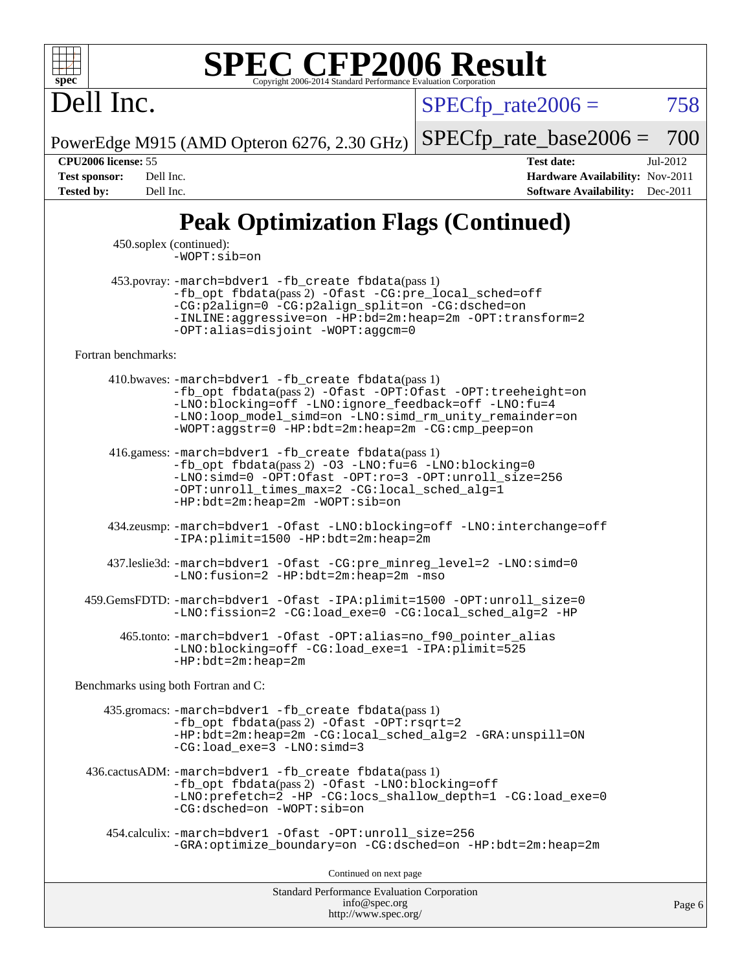

Dell Inc.

 $SPECTp\_rate2006 = 758$ 

PowerEdge M915 (AMD Opteron 6276, 2.30 GHz) [SPECfp\\_rate\\_base2006 =](http://www.spec.org/auto/cpu2006/Docs/result-fields.html#SPECfpratebase2006) 700

**[CPU2006 license:](http://www.spec.org/auto/cpu2006/Docs/result-fields.html#CPU2006license)** 55 **[Test date:](http://www.spec.org/auto/cpu2006/Docs/result-fields.html#Testdate)** Jul-2012 **[Test sponsor:](http://www.spec.org/auto/cpu2006/Docs/result-fields.html#Testsponsor)** Dell Inc. **[Hardware Availability:](http://www.spec.org/auto/cpu2006/Docs/result-fields.html#HardwareAvailability)** Nov-2011 **[Tested by:](http://www.spec.org/auto/cpu2006/Docs/result-fields.html#Testedby)** Dell Inc. **[Software Availability:](http://www.spec.org/auto/cpu2006/Docs/result-fields.html#SoftwareAvailability)** Dec-2011

## **[Peak Optimization Flags \(Continued\)](http://www.spec.org/auto/cpu2006/Docs/result-fields.html#PeakOptimizationFlags)**

 450.soplex (continued): [-WOPT:sib=on](http://www.spec.org/cpu2006/results/res2012q3/cpu2006-20120730-23934.flags.html#user_peakCXXOPTIMIZE450_soplex_F-WOPT:sib_922e769c7f0e2d4dff1b4919612a4b7b)

 453.povray: [-march=bdver1](http://www.spec.org/cpu2006/results/res2012q3/cpu2006-20120730-23934.flags.html#user_peakCXXLD453_povray_F-march_fdb9f2653a6b3eaa60be4cf93a9ba5f3) [-fb\\_create fbdata](http://www.spec.org/cpu2006/results/res2012q3/cpu2006-20120730-23934.flags.html#user_peakPASS1_CXXFLAGSPASS1_LDFLAGS453_povray_F-fb_create_filename)(pass 1) [-fb\\_opt fbdata](http://www.spec.org/cpu2006/results/res2012q3/cpu2006-20120730-23934.flags.html#user_peakPASS2_CXXFLAGSPASS2_LDFLAGS453_povray_F-fb_opt_filename)(pass 2) [-Ofast](http://www.spec.org/cpu2006/results/res2012q3/cpu2006-20120730-23934.flags.html#user_peakCXXOPTIMIZE453_povray_F-Ofast) [-CG:pre\\_local\\_sched=off](http://www.spec.org/cpu2006/results/res2012q3/cpu2006-20120730-23934.flags.html#user_peakCXXOPTIMIZE453_povray_F-CG:pre_local_sched_7bb173f1e7fa183e34a713f624fd3d48) [-CG:p2align=0](http://www.spec.org/cpu2006/results/res2012q3/cpu2006-20120730-23934.flags.html#user_peakCXXOPTIMIZE453_povray_F-CG:p2align_f0b0486d75f2be7d5254cfc84ff9845e) [-CG:p2align\\_split=on](http://www.spec.org/cpu2006/results/res2012q3/cpu2006-20120730-23934.flags.html#user_peakCXXOPTIMIZE453_povray_F-CG:p2align_split_d3c870c09536e0050f2c4511144583c6) [-CG:dsched=on](http://www.spec.org/cpu2006/results/res2012q3/cpu2006-20120730-23934.flags.html#user_peakCXXOPTIMIZE453_povray_F-CG:dsched_25fd6bf9b1a971fa5ea06b24e400231d) [-INLINE:aggressive=on](http://www.spec.org/cpu2006/results/res2012q3/cpu2006-20120730-23934.flags.html#user_peakCXXOPTIMIZE453_povray_F-INLINE:aggressive_e14807c0a1e56a6a83cb25ab07c7ae8a) [-HP:bd=2m:heap=2m](http://www.spec.org/cpu2006/results/res2012q3/cpu2006-20120730-23934.flags.html#user_peakCXXOPTIMIZE453_povray_F-HUGEPAGE_539c723a9f9bd1bd95cd839aeb740bae) [-OPT:transform=2](http://www.spec.org/cpu2006/results/res2012q3/cpu2006-20120730-23934.flags.html#user_peakCXXOPTIMIZE453_povray_F-OPT:transform_77d6ba2bcf219650ff666b5f6fc3337f) [-OPT:alias=disjoint](http://www.spec.org/cpu2006/results/res2012q3/cpu2006-20120730-23934.flags.html#user_peakCXXOPTIMIZE453_povray_F-OPT:alias_af85d624bc8c113f27b06a81a9df063d) [-WOPT:aggcm=0](http://www.spec.org/cpu2006/results/res2012q3/cpu2006-20120730-23934.flags.html#user_peakCXXOPTIMIZE453_povray_F-WOPT:aggcm_b337dc970a129b82f6cf4a641df841eb)

[Fortran benchmarks](http://www.spec.org/auto/cpu2006/Docs/result-fields.html#Fortranbenchmarks):

 410.bwaves: [-march=bdver1](http://www.spec.org/cpu2006/results/res2012q3/cpu2006-20120730-23934.flags.html#user_peakFCLD410_bwaves_F-march_fdb9f2653a6b3eaa60be4cf93a9ba5f3) [-fb\\_create fbdata](http://www.spec.org/cpu2006/results/res2012q3/cpu2006-20120730-23934.flags.html#user_peakPASS1_FFLAGSPASS1_LDFLAGS410_bwaves_F-fb_create_filename)(pass 1) [-fb\\_opt fbdata](http://www.spec.org/cpu2006/results/res2012q3/cpu2006-20120730-23934.flags.html#user_peakPASS2_FFLAGSPASS2_LDFLAGS410_bwaves_F-fb_opt_filename)(pass 2) [-Ofast](http://www.spec.org/cpu2006/results/res2012q3/cpu2006-20120730-23934.flags.html#user_peakFOPTIMIZE410_bwaves_F-Ofast) [-OPT:Ofast](http://www.spec.org/cpu2006/results/res2012q3/cpu2006-20120730-23934.flags.html#user_peakFOPTIMIZE410_bwaves_F-OPT:Ofast) [-OPT:treeheight=on](http://www.spec.org/cpu2006/results/res2012q3/cpu2006-20120730-23934.flags.html#user_peakFOPTIMIZE410_bwaves_F-OPT:treeheight_cfc70e9aefb9f92101ba198ff7377f7c) [-LNO:blocking=off](http://www.spec.org/cpu2006/results/res2012q3/cpu2006-20120730-23934.flags.html#user_peakFOPTIMIZE410_bwaves_F-LNO:blocking_806f5758a3ec85ed57cd5625787129f2) [-LNO:ignore\\_feedback=off](http://www.spec.org/cpu2006/results/res2012q3/cpu2006-20120730-23934.flags.html#user_peakFOPTIMIZE410_bwaves_F-LNO:ignore_feedback_1d6d06f39185b277a955c10dfd0a9a73) [-LNO:fu=4](http://www.spec.org/cpu2006/results/res2012q3/cpu2006-20120730-23934.flags.html#user_peakFOPTIMIZE410_bwaves_F-LNO:full_unroll_1b24e063ced7eac4cde39ed4795d4acc) [-LNO:loop\\_model\\_simd=on](http://www.spec.org/cpu2006/results/res2012q3/cpu2006-20120730-23934.flags.html#user_peakFOPTIMIZE410_bwaves_F-LNO:loop_model_simd_3cf34eca93fb340105f75f1c09e0ffcf) [-LNO:simd\\_rm\\_unity\\_remainder=on](http://www.spec.org/cpu2006/results/res2012q3/cpu2006-20120730-23934.flags.html#user_peakFOPTIMIZE410_bwaves_F-LNO:simd_rm_unity_remainder_167c8b757674ca9cdefbef1e9aa40ef1) [-WOPT:aggstr=0](http://www.spec.org/cpu2006/results/res2012q3/cpu2006-20120730-23934.flags.html#user_peakFOPTIMIZE410_bwaves_F-WOPT:aggstr_e9f678663e612582e440992a3901d0b4) [-HP:bdt=2m:heap=2m](http://www.spec.org/cpu2006/results/res2012q3/cpu2006-20120730-23934.flags.html#user_peakFOPTIMIZE410_bwaves_F-HUGEPAGE_855e97383b49831f390a2af16fe7202f) [-CG:cmp\\_peep=on](http://www.spec.org/cpu2006/results/res2012q3/cpu2006-20120730-23934.flags.html#user_peakFOPTIMIZE410_bwaves_F-CG:cmp_peep_ab90c979e95bee1f1f617a32622424ed)

 416.gamess: [-march=bdver1](http://www.spec.org/cpu2006/results/res2012q3/cpu2006-20120730-23934.flags.html#user_peakFCLD416_gamess_F-march_fdb9f2653a6b3eaa60be4cf93a9ba5f3) [-fb\\_create fbdata](http://www.spec.org/cpu2006/results/res2012q3/cpu2006-20120730-23934.flags.html#user_peakPASS1_FFLAGSPASS1_LDFLAGS416_gamess_F-fb_create_filename)(pass 1) [-fb\\_opt fbdata](http://www.spec.org/cpu2006/results/res2012q3/cpu2006-20120730-23934.flags.html#user_peakPASS2_FFLAGSPASS2_LDFLAGS416_gamess_F-fb_opt_filename)(pass 2) [-O3](http://www.spec.org/cpu2006/results/res2012q3/cpu2006-20120730-23934.flags.html#user_peakFOPTIMIZE416_gamess_F-O3) [-LNO:fu=6](http://www.spec.org/cpu2006/results/res2012q3/cpu2006-20120730-23934.flags.html#user_peakFOPTIMIZE416_gamess_F-LNO:full_unroll_3286c2d175e5cd3c391f9ebb1917057c) [-LNO:blocking=0](http://www.spec.org/cpu2006/results/res2012q3/cpu2006-20120730-23934.flags.html#user_peakFOPTIMIZE416_gamess_F-LNO:blocking_f05bf6a7a6c1d0fdc72c448778ff5994) [-LNO:simd=0](http://www.spec.org/cpu2006/results/res2012q3/cpu2006-20120730-23934.flags.html#user_peakFOPTIMIZE416_gamess_F-LNO:simd_fe5269a1a2b4239f5b10f7374245fa5e) [-OPT:Ofast](http://www.spec.org/cpu2006/results/res2012q3/cpu2006-20120730-23934.flags.html#user_peakFOPTIMIZE416_gamess_F-OPT:Ofast) [-OPT:ro=3](http://www.spec.org/cpu2006/results/res2012q3/cpu2006-20120730-23934.flags.html#user_peakFOPTIMIZE416_gamess_F-OPT:ro_df424ac2b688fef46f512566ef2e1c44) [-OPT:unroll\\_size=256](http://www.spec.org/cpu2006/results/res2012q3/cpu2006-20120730-23934.flags.html#user_peakFOPTIMIZE416_gamess_F-OPT:unroll_size_dfa492f42f50f580c3837c8b22d14f27) [-OPT:unroll\\_times\\_max=2](http://www.spec.org/cpu2006/results/res2012q3/cpu2006-20120730-23934.flags.html#user_peakFOPTIMIZE416_gamess_F-OPT:unroll_times_max_3bd972bae0d5d80e86ed58378fb48c02) [-CG:local\\_sched\\_alg=1](http://www.spec.org/cpu2006/results/res2012q3/cpu2006-20120730-23934.flags.html#user_peakFOPTIMIZE416_gamess_F-CG:local_sched_alg_2175ca61f1a2717f1ec57b14995b9e7a) [-HP:bdt=2m:heap=2m](http://www.spec.org/cpu2006/results/res2012q3/cpu2006-20120730-23934.flags.html#user_peakFOPTIMIZE416_gamess_F-HUGEPAGE_855e97383b49831f390a2af16fe7202f) [-WOPT:sib=on](http://www.spec.org/cpu2006/results/res2012q3/cpu2006-20120730-23934.flags.html#user_peakFOPTIMIZE416_gamess_F-WOPT:sib_922e769c7f0e2d4dff1b4919612a4b7b)

 434.zeusmp: [-march=bdver1](http://www.spec.org/cpu2006/results/res2012q3/cpu2006-20120730-23934.flags.html#user_peakFCLD434_zeusmp_F-march_fdb9f2653a6b3eaa60be4cf93a9ba5f3) [-Ofast](http://www.spec.org/cpu2006/results/res2012q3/cpu2006-20120730-23934.flags.html#user_peakFOPTIMIZE434_zeusmp_F-Ofast) [-LNO:blocking=off](http://www.spec.org/cpu2006/results/res2012q3/cpu2006-20120730-23934.flags.html#user_peakFOPTIMIZE434_zeusmp_F-LNO:blocking_806f5758a3ec85ed57cd5625787129f2) [-LNO:interchange=off](http://www.spec.org/cpu2006/results/res2012q3/cpu2006-20120730-23934.flags.html#user_peakFOPTIMIZE434_zeusmp_F-LNO:interchange_57130197a319ddd7676aad2280bcb1be) [-IPA:plimit=1500](http://www.spec.org/cpu2006/results/res2012q3/cpu2006-20120730-23934.flags.html#user_peakFOPTIMIZE434_zeusmp_F-IPA:plimit_5b3b8bfa9af4885eba17b689e05d6f59) [-HP:bdt=2m:heap=2m](http://www.spec.org/cpu2006/results/res2012q3/cpu2006-20120730-23934.flags.html#user_peakFOPTIMIZE434_zeusmp_F-HUGEPAGE_855e97383b49831f390a2af16fe7202f)

 437.leslie3d: [-march=bdver1](http://www.spec.org/cpu2006/results/res2012q3/cpu2006-20120730-23934.flags.html#user_peakFCLD437_leslie3d_F-march_fdb9f2653a6b3eaa60be4cf93a9ba5f3) [-Ofast](http://www.spec.org/cpu2006/results/res2012q3/cpu2006-20120730-23934.flags.html#user_peakFOPTIMIZE437_leslie3d_F-Ofast) [-CG:pre\\_minreg\\_level=2](http://www.spec.org/cpu2006/results/res2012q3/cpu2006-20120730-23934.flags.html#user_peakFOPTIMIZE437_leslie3d_F-CG:pre_minreg_level_7a4f6ecddb7c61e5a5fb2e3c8bb4dd9d) [-LNO:simd=0](http://www.spec.org/cpu2006/results/res2012q3/cpu2006-20120730-23934.flags.html#user_peakFOPTIMIZE437_leslie3d_F-LNO:simd_fe5269a1a2b4239f5b10f7374245fa5e) [-LNO:fusion=2](http://www.spec.org/cpu2006/results/res2012q3/cpu2006-20120730-23934.flags.html#user_peakFOPTIMIZE437_leslie3d_F-LNO:fusion_522097e09e21de5ea3aaa2b17dc4a88d) [-HP:bdt=2m:heap=2m](http://www.spec.org/cpu2006/results/res2012q3/cpu2006-20120730-23934.flags.html#user_peakFOPTIMIZE437_leslie3d_F-HUGEPAGE_855e97383b49831f390a2af16fe7202f) [-mso](http://www.spec.org/cpu2006/results/res2012q3/cpu2006-20120730-23934.flags.html#user_peakFOPTIMIZE437_leslie3d_F-mso)

 459.GemsFDTD: [-march=bdver1](http://www.spec.org/cpu2006/results/res2012q3/cpu2006-20120730-23934.flags.html#user_peakFCLD459_GemsFDTD_F-march_fdb9f2653a6b3eaa60be4cf93a9ba5f3) [-Ofast](http://www.spec.org/cpu2006/results/res2012q3/cpu2006-20120730-23934.flags.html#user_peakFOPTIMIZE459_GemsFDTD_F-Ofast) [-IPA:plimit=1500](http://www.spec.org/cpu2006/results/res2012q3/cpu2006-20120730-23934.flags.html#user_peakFOPTIMIZE459_GemsFDTD_F-IPA:plimit_5b3b8bfa9af4885eba17b689e05d6f59) [-OPT:unroll\\_size=0](http://www.spec.org/cpu2006/results/res2012q3/cpu2006-20120730-23934.flags.html#user_peakFOPTIMIZE459_GemsFDTD_F-OPT:unroll_size_6939dd22ebf423d79b6783a123c6b33c) [-LNO:fission=2](http://www.spec.org/cpu2006/results/res2012q3/cpu2006-20120730-23934.flags.html#user_peakFOPTIMIZE459_GemsFDTD_F-LNO:fission_5cab2649267e6bc8b61d14b4fdbc5ab6) [-CG:load\\_exe=0](http://www.spec.org/cpu2006/results/res2012q3/cpu2006-20120730-23934.flags.html#user_peakFOPTIMIZE459_GemsFDTD_F-CG:load_exe_274d025dc8e91b4834366e9e44cd78e3) [-CG:local\\_sched\\_alg=2](http://www.spec.org/cpu2006/results/res2012q3/cpu2006-20120730-23934.flags.html#user_peakFOPTIMIZE459_GemsFDTD_F-CG:local_sched_alg_7e9cde87db6e5e7117cdd873e1f958ca) [-HP](http://www.spec.org/cpu2006/results/res2012q3/cpu2006-20120730-23934.flags.html#user_peakFOPTIMIZE459_GemsFDTD_F-HUGEPAGE_5df7ddc958063186306345596c5e7dc3)

 465.tonto: [-march=bdver1](http://www.spec.org/cpu2006/results/res2012q3/cpu2006-20120730-23934.flags.html#user_peakFCLD465_tonto_F-march_fdb9f2653a6b3eaa60be4cf93a9ba5f3) [-Ofast](http://www.spec.org/cpu2006/results/res2012q3/cpu2006-20120730-23934.flags.html#user_peakFOPTIMIZE465_tonto_F-Ofast) [-OPT:alias=no\\_f90\\_pointer\\_alias](http://www.spec.org/cpu2006/results/res2012q3/cpu2006-20120730-23934.flags.html#user_peakFOPTIMIZE465_tonto_F-OPT:alias_a4006d692d10b56b990dc3fe885185f9) [-LNO:blocking=off](http://www.spec.org/cpu2006/results/res2012q3/cpu2006-20120730-23934.flags.html#user_peakFOPTIMIZE465_tonto_F-LNO:blocking_806f5758a3ec85ed57cd5625787129f2) [-CG:load\\_exe=1](http://www.spec.org/cpu2006/results/res2012q3/cpu2006-20120730-23934.flags.html#user_peakFOPTIMIZE465_tonto_F-CG:load_exe_77a6962273ab47aafb0b0d5d0a5a6a5a) [-IPA:plimit=525](http://www.spec.org/cpu2006/results/res2012q3/cpu2006-20120730-23934.flags.html#user_peakFOPTIMIZE465_tonto_F-IPA:plimit_d0a5969ed156a139f3f815398bb85fb9) [-HP:bdt=2m:heap=2m](http://www.spec.org/cpu2006/results/res2012q3/cpu2006-20120730-23934.flags.html#user_peakFOPTIMIZE465_tonto_F-HUGEPAGE_855e97383b49831f390a2af16fe7202f)

[Benchmarks using both Fortran and C](http://www.spec.org/auto/cpu2006/Docs/result-fields.html#BenchmarksusingbothFortranandC):

 435.gromacs: [-march=bdver1](http://www.spec.org/cpu2006/results/res2012q3/cpu2006-20120730-23934.flags.html#user_peakCCFCLD435_gromacs_F-march_fdb9f2653a6b3eaa60be4cf93a9ba5f3) [-fb\\_create fbdata](http://www.spec.org/cpu2006/results/res2012q3/cpu2006-20120730-23934.flags.html#user_peakPASS1_CFLAGSPASS1_FFLAGSPASS1_LDFLAGS435_gromacs_F-fb_create_filename)(pass 1)  $-fb\_{opt}$  fbdata(pass 2) [-Ofast](http://www.spec.org/cpu2006/results/res2012q3/cpu2006-20120730-23934.flags.html#user_peakCOPTIMIZEFOPTIMIZE435_gromacs_F-Ofast) -OPT: rsqrt=2 [-HP:bdt=2m:heap=2m](http://www.spec.org/cpu2006/results/res2012q3/cpu2006-20120730-23934.flags.html#user_peakCOPTIMIZEFOPTIMIZE435_gromacs_F-HUGEPAGE_855e97383b49831f390a2af16fe7202f) [-CG:local\\_sched\\_alg=2](http://www.spec.org/cpu2006/results/res2012q3/cpu2006-20120730-23934.flags.html#user_peakCOPTIMIZEFOPTIMIZE435_gromacs_F-CG:local_sched_alg_7e9cde87db6e5e7117cdd873e1f958ca) [-GRA:unspill=ON](http://www.spec.org/cpu2006/results/res2012q3/cpu2006-20120730-23934.flags.html#user_peakCOPTIMIZEFOPTIMIZE435_gromacs_F-GRA:unspill_fee06ef1fc3c1ad58970470bbe69ac7a) [-CG:load\\_exe=3](http://www.spec.org/cpu2006/results/res2012q3/cpu2006-20120730-23934.flags.html#user_peakCOPTIMIZEFOPTIMIZE435_gromacs_F-CG:load_exe_b3d8bb578b47feb706535fc1ad967df2) [-LNO:simd=3](http://www.spec.org/cpu2006/results/res2012q3/cpu2006-20120730-23934.flags.html#user_peakFOPTIMIZE435_gromacs_F-LNO:simd_b94d4c192b0c16a724139baa22f1f917)

 436.cactusADM: [-march=bdver1](http://www.spec.org/cpu2006/results/res2012q3/cpu2006-20120730-23934.flags.html#user_peakCCFCLD436_cactusADM_F-march_fdb9f2653a6b3eaa60be4cf93a9ba5f3) [-fb\\_create fbdata](http://www.spec.org/cpu2006/results/res2012q3/cpu2006-20120730-23934.flags.html#user_peakPASS1_CFLAGSPASS1_FFLAGSPASS1_LDFLAGS436_cactusADM_F-fb_create_filename)(pass 1) [-fb\\_opt fbdata](http://www.spec.org/cpu2006/results/res2012q3/cpu2006-20120730-23934.flags.html#user_peakPASS2_CFLAGSPASS2_FFLAGSPASS2_LDFLAGS436_cactusADM_F-fb_opt_filename)(pass 2) [-Ofast](http://www.spec.org/cpu2006/results/res2012q3/cpu2006-20120730-23934.flags.html#user_peakCOPTIMIZEFOPTIMIZE436_cactusADM_F-Ofast) [-LNO:blocking=off](http://www.spec.org/cpu2006/results/res2012q3/cpu2006-20120730-23934.flags.html#user_peakCOPTIMIZEFOPTIMIZE436_cactusADM_F-LNO:blocking_806f5758a3ec85ed57cd5625787129f2) [-LNO:prefetch=2](http://www.spec.org/cpu2006/results/res2012q3/cpu2006-20120730-23934.flags.html#user_peakCOPTIMIZEFOPTIMIZE436_cactusADM_F-LNO:prefetch_9aee81855ba0592a3c8a40ba7b041143) [-HP](http://www.spec.org/cpu2006/results/res2012q3/cpu2006-20120730-23934.flags.html#user_peakCOPTIMIZEFOPTIMIZE436_cactusADM_F-HUGEPAGE_5df7ddc958063186306345596c5e7dc3) [-CG:locs\\_shallow\\_depth=1](http://www.spec.org/cpu2006/results/res2012q3/cpu2006-20120730-23934.flags.html#user_peakCOPTIMIZEFOPTIMIZE436_cactusADM_F-CG:locs_shallow_depth_ec0a53d3def1c53dcd5985fc16cc23f2) [-CG:load\\_exe=0](http://www.spec.org/cpu2006/results/res2012q3/cpu2006-20120730-23934.flags.html#user_peakCOPTIMIZEFOPTIMIZE436_cactusADM_F-CG:load_exe_274d025dc8e91b4834366e9e44cd78e3) [-CG:dsched=on](http://www.spec.org/cpu2006/results/res2012q3/cpu2006-20120730-23934.flags.html#user_peakCOPTIMIZEFOPTIMIZE436_cactusADM_F-CG:dsched_25fd6bf9b1a971fa5ea06b24e400231d) [-WOPT:sib=on](http://www.spec.org/cpu2006/results/res2012q3/cpu2006-20120730-23934.flags.html#user_peakCOPTIMIZEFOPTIMIZE436_cactusADM_F-WOPT:sib_922e769c7f0e2d4dff1b4919612a4b7b)

 454.calculix: [-march=bdver1](http://www.spec.org/cpu2006/results/res2012q3/cpu2006-20120730-23934.flags.html#user_peakCCFCLD454_calculix_F-march_fdb9f2653a6b3eaa60be4cf93a9ba5f3) [-Ofast](http://www.spec.org/cpu2006/results/res2012q3/cpu2006-20120730-23934.flags.html#user_peakCOPTIMIZEFOPTIMIZE454_calculix_F-Ofast) [-OPT:unroll\\_size=256](http://www.spec.org/cpu2006/results/res2012q3/cpu2006-20120730-23934.flags.html#user_peakCOPTIMIZEFOPTIMIZE454_calculix_F-OPT:unroll_size_dfa492f42f50f580c3837c8b22d14f27) [-GRA:optimize\\_boundary=on](http://www.spec.org/cpu2006/results/res2012q3/cpu2006-20120730-23934.flags.html#user_peakCOPTIMIZEFOPTIMIZE454_calculix_F-GRA:optimize_boundary_4d72318c2ac08573dddf767f1245fa1f) [-CG:dsched=on](http://www.spec.org/cpu2006/results/res2012q3/cpu2006-20120730-23934.flags.html#user_peakCOPTIMIZEFOPTIMIZE454_calculix_F-CG:dsched_25fd6bf9b1a971fa5ea06b24e400231d) [-HP:bdt=2m:heap=2m](http://www.spec.org/cpu2006/results/res2012q3/cpu2006-20120730-23934.flags.html#user_peakCOPTIMIZEFOPTIMIZE454_calculix_F-HUGEPAGE_855e97383b49831f390a2af16fe7202f)

Continued on next page

Standard Performance Evaluation Corporation [info@spec.org](mailto:info@spec.org) <http://www.spec.org/>

Page 6